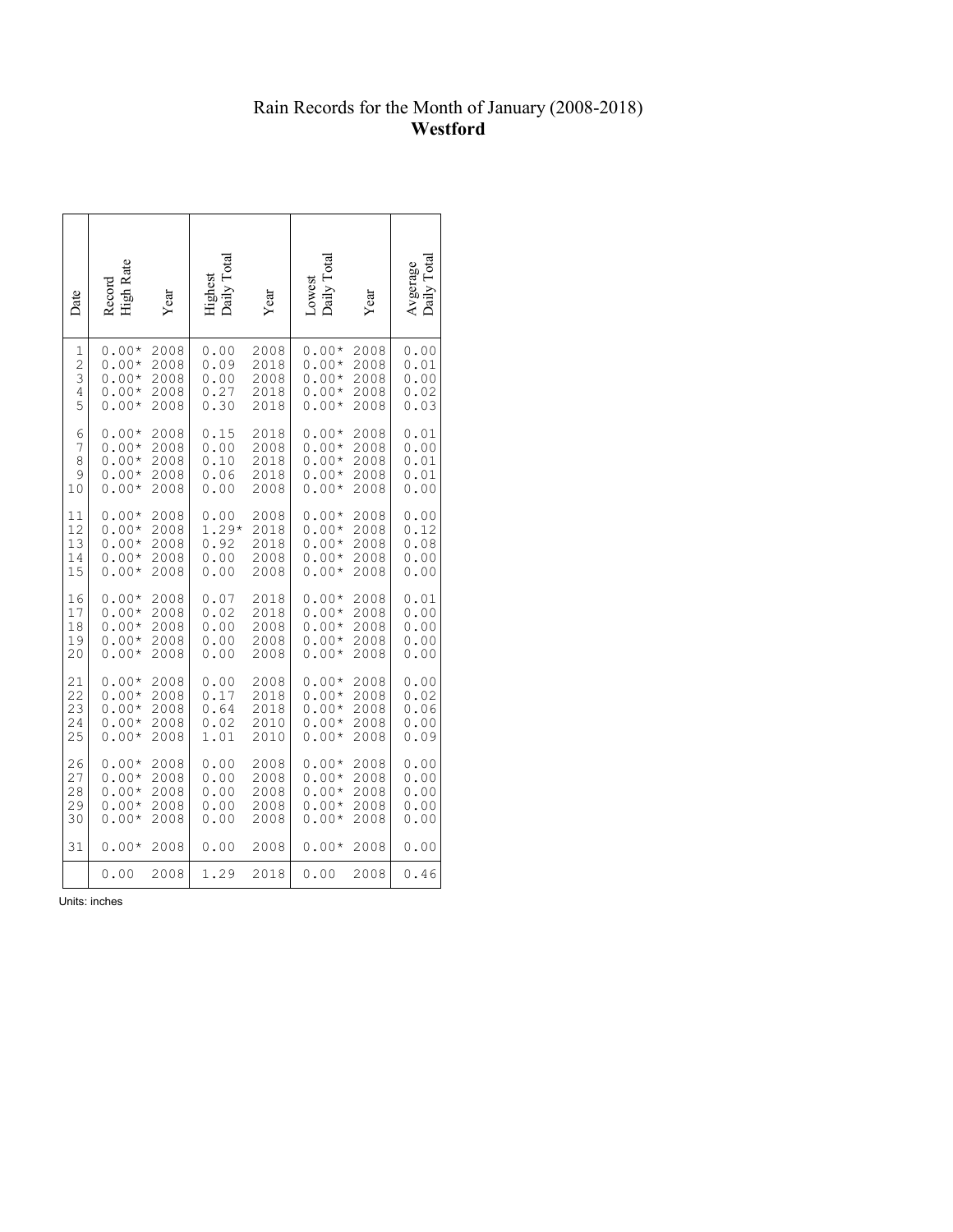## Rain Records for the Month of January (2008-2018) **Westford**

| Date           | High Rate<br>Record | Year | Daily Total<br>rughest | Year | Daily Total<br>Lowest | Year | <b>Total</b><br>Avgerage<br>Daily Tota |
|----------------|---------------------|------|------------------------|------|-----------------------|------|----------------------------------------|
| 1              | $0.00*$             | 2008 | 0.00                   | 2008 | $0.00*$               | 2008 | 0.00                                   |
| $\mathbf{2}$   | $0.00*$             | 2008 | 0.09                   | 2018 | $0.00*$               | 2008 | 0.01                                   |
| 3              | $0.00*$             | 2008 | 0.00                   | 2008 | $0.00*$               | 2008 | 0.00                                   |
| $\overline{4}$ | $0.00*$             | 2008 | 0.27                   | 2018 | $0.00*$               | 2008 | 0.02                                   |
| 5              | $0.00*$             | 2008 | 0.30                   | 2018 | $0.00*$               | 2008 | 0.03                                   |
| 6              | $0.00*$             | 2008 | 0.15                   | 2018 | $0.00*$               | 2008 | 0.01                                   |
| 7              | $0.00*$             | 2008 | 0.00                   | 2008 | $0.00*$               | 2008 | 0.00                                   |
| 8              | $0.00*$             | 2008 | 0.10                   | 2018 | $0.00*$               | 2008 | 0.01                                   |
| 9              | $0.00*$             | 2008 | 0.06                   | 2018 | $0.00*$               | 2008 | 0.01                                   |
| 10             | $0.00*$             | 2008 | 0.00                   | 2008 | $0.00*$               | 2008 | 0.00                                   |
| 11             | $0.00*$             | 2008 | 0.00                   | 2008 | $0.00*$               | 2008 | 0.00                                   |
| 12             | $0.00*$             | 2008 | $1.29*$                | 2018 | $0.00*$               | 2008 | 0.12                                   |
| 13             | $0.00*$             | 2008 | 0.92                   | 2018 | $0.00*$               | 2008 | 0.08                                   |
| 14             | $0.00*$             | 2008 | 0.00                   | 2008 | $0.00*$               | 2008 | 0.00                                   |
| 15             | $0.00*$             | 2008 | 0.00                   | 2008 | $0.00*$               | 2008 | 0.00                                   |
| 16             | $0.00*$             | 2008 | 0.07                   | 2018 | $0.00*$               | 2008 | 0.01                                   |
| 17             | $0.00*$             | 2008 | 0.02                   | 2018 | $0.00*$               | 2008 | 0.00                                   |
| 18             | $0.00*$             | 2008 | 0.00                   | 2008 | $0.00*$               | 2008 | 0.00                                   |
| 19             | $0.00*$             | 2008 | 0.00                   | 2008 | $0.00*$               | 2008 | 0.00                                   |
| 20             | $0.00*$             | 2008 | 0.00                   | 2008 | $0.00*$               | 2008 | 0.00                                   |
| 21             | $0.00*$             | 2008 | 0.00                   | 2008 | $0.00*$               | 2008 | 0.00                                   |
| 22             | $0.00*$             | 2008 | 0.17                   | 2018 | $0.00*$               | 2008 | 0.02                                   |
| 23             | $0.00*$             | 2008 | 0.64                   | 2018 | $0.00*$               | 2008 | 0.06                                   |
| 24             | $0.00*$             | 2008 | 0.02                   | 2010 | $0.00*$               | 2008 | 0.00                                   |
| 25             | $0.00*$             | 2008 | 1.01                   | 2010 | $0.00*$               | 2008 | 0.09                                   |
| 26             | $0.00*$             | 2008 | 0.00                   | 2008 | $0.00*$               | 2008 | 0.00                                   |
| 27             | $0.00*$             | 2008 | 0.00                   | 2008 | $0.00*$               | 2008 | 0.00                                   |
| 28             | $0.00*$             | 2008 | 0.00                   | 2008 | $0.00*$               | 2008 | 0.00                                   |
| 29             | $0.00*$             | 2008 | 0.00                   | 2008 | $0.00*$               | 2008 | 0.00                                   |
| 30             | $0.00*$             | 2008 | 0.00                   | 2008 | $0.00*$               | 2008 | 0.00                                   |
| 31             | $0.00*$             | 2008 | 0.00                   | 2008 | $0.00*$               | 2008 | 0.00                                   |
|                | 0.00                | 2008 | 1.29                   | 2018 | 0.00                  | 2008 | 0.46                                   |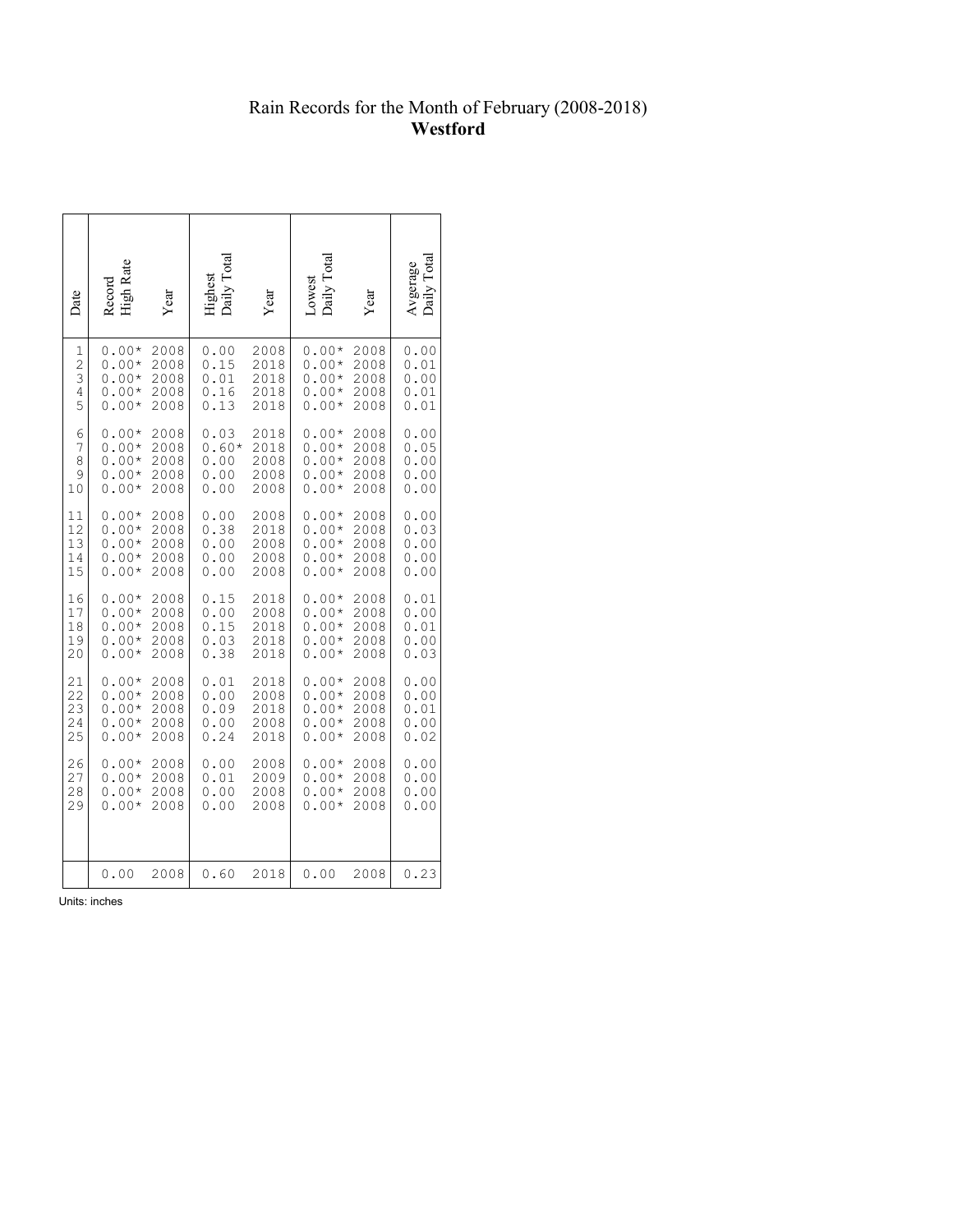## Rain Records for the Month of February (2008-2018) **Westford**

| Date           | <b>High Rate</b><br>Record | Year | aily Tota | <i>l</i> ear | Daily Tota<br>Lowest | Year | $A$ vgerage |
|----------------|----------------------------|------|-----------|--------------|----------------------|------|-------------|
| 1              | $0.00*$                    | 2008 | 0.00      | 2008         | $0.00*$              | 2008 | 0.00        |
| $\overline{c}$ | $0.00*$                    | 2008 | 0.15      | 2018         | $0.00*$              | 2008 | 0.01        |
| 3              | $0.00*$                    | 2008 | 0.01      | 2018         | $0.00*$              | 2008 | 0.00        |
| 4              | $0.00*$                    | 2008 | 0.16      | 2018         | $0.00*$              | 2008 | 0.01        |
| 5              | $0.00*$                    | 2008 | 0.13      | 2018         | $0.00*$              | 2008 | 0.01        |
| 6              | $0.00*$                    | 2008 | 0.03      | 2018         | $0.00*$              | 2008 | 0.00        |
| 7              | $0.00*$                    | 2008 | 0.60*     | 2018         | $0.00*$              | 2008 | 0.05        |
| 8              | $0.00*$                    | 2008 | 0.00      | 2008         | $0.00*$              | 2008 | 0.00        |
| 9              | $0.00*$                    | 2008 | 0.00      | 2008         | $0.00*$              | 2008 | 0.00        |
| 10             | $0.00*$                    | 2008 | 0.00      | 2008         | $0.00*$              | 2008 | 0.00        |
| 11             | $0.00*$                    | 2008 | 0.00      | 2008         | $0.00*$              | 2008 | 0.00        |
| 12             | $0.00*$                    | 2008 | 0.38      | 2018         | $0.00*$              | 2008 | 0.03        |
| 13             | $0.00*$                    | 2008 | 0.00      | 2008         | $0.00*$              | 2008 | 0.00        |
| 14             | $0.00*$                    | 2008 | 0.00      | 2008         | $0.00*$              | 2008 | 0.00        |
| 15             | $0.00*$                    | 2008 | 0.00      | 2008         | $0.00*$              | 2008 | 0.00        |
| 16             | $0.00*$                    | 2008 | 0.15      | 2018         | $0.00*$              | 2008 | 0.01        |
| 17             | $0.00*$                    | 2008 | 0.00      | 2008         | $0.00*$              | 2008 | 0.00        |
| 18             | $0.00*$                    | 2008 | 0.15      | 2018         | $0.00*$              | 2008 | 0.01        |
| 19             | $0.00*$                    | 2008 | 0.03      | 2018         | $0.00*$              | 2008 | 0.00        |
| 20             | $0.00*$                    | 2008 | 0.38      | 2018         | $0.00*$              | 2008 | 0.03        |
| 21             | $0.00*$                    | 2008 | 0.01      | 2018         | $0.00*$              | 2008 | 0.00        |
| 22             | $0.00*$                    | 2008 | 0.00      | 2008         | $0.00*$              | 2008 | 0.00        |
| 23             | $0.00*$                    | 2008 | 0.09      | 2018         | $0.00*$              | 2008 | 0.01        |
| 24             | $0.00*$                    | 2008 | 0.00      | 2008         | $0.00*$              | 2008 | 0.00        |
| 25             | $0.00*$                    | 2008 | 0.24      | 2018         | $0.00*$              | 2008 | 0.02        |
| 26             | $0.00*$                    | 2008 | 0.00      | 2008         | $0.00*$              | 2008 | 0.00        |
| 27             | $0.00*$                    | 2008 | 0.01      | 2009         | $0.00*$              | 2008 | 0.00        |
| 28             | $0.00*$                    | 2008 | 0.00      | 2008         | $0.00*$              | 2008 | 0.00        |
| 29             | $0.00*$                    | 2008 | 0.00      | 2008         | $0.00*$              | 2008 | 0.00        |
|                | 0.00                       | 2008 | 0.60      | 2018         | 0.00                 | 2008 | 0.23        |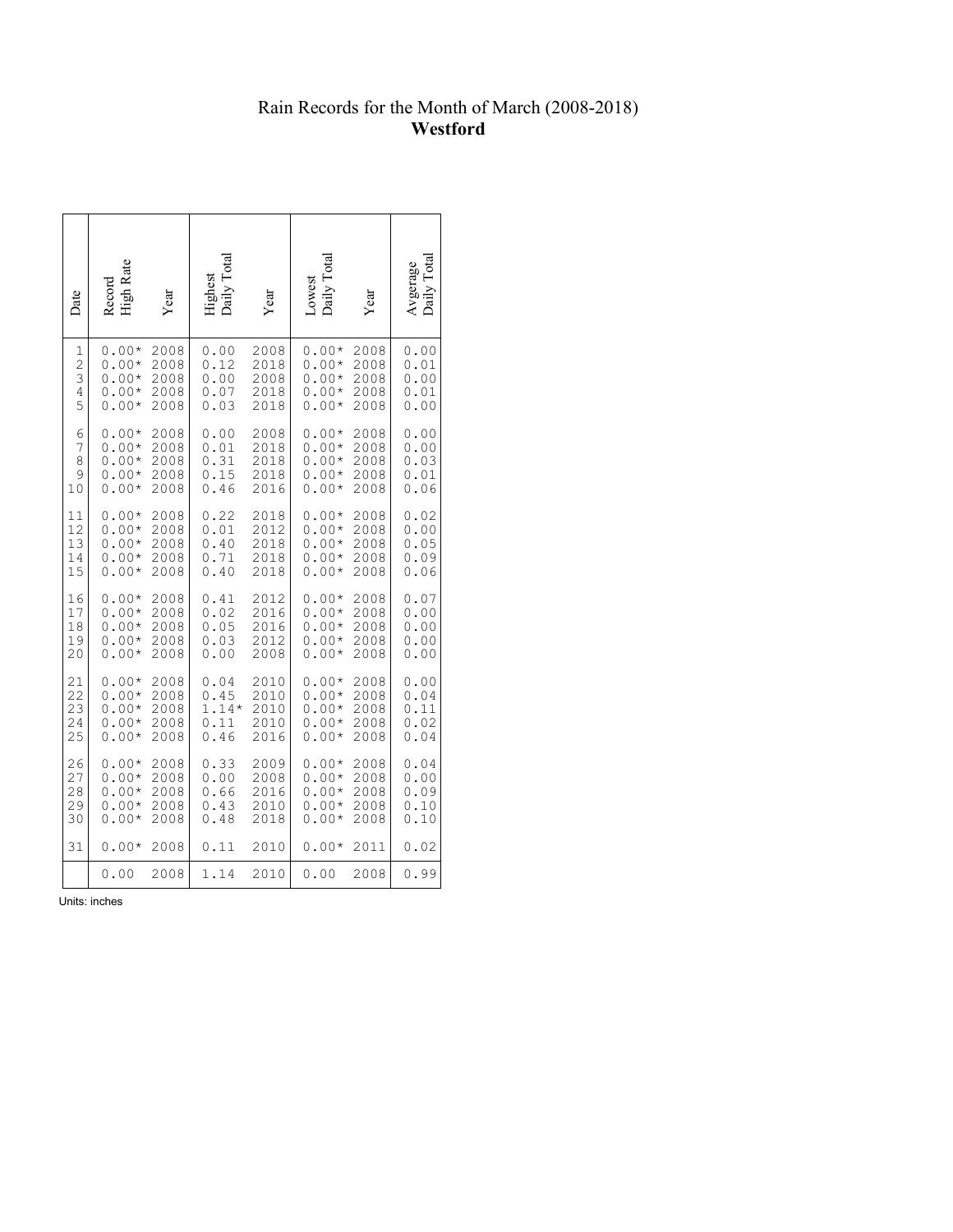# Rain Records for the Month of March (2008-2018) **Westford**

| Date           | High Rate<br>Record | Year | Highest<br>Daily Total | Year | Daily Tota<br>Lowest | Year | Avgerage |
|----------------|---------------------|------|------------------------|------|----------------------|------|----------|
| 1              | $0.00*$             | 2008 | 0.00                   | 2008 | $0.00*$              | 2008 | 0.00     |
| $\overline{c}$ | $0.00*$             | 2008 | 0.12                   | 2018 | $0.00*$              | 2008 | 0.01     |
| 3              | $0.00*$             | 2008 | 0.00                   | 2008 | $0.00*$              | 2008 | 0.00     |
| 4              | $0.00*$             | 2008 | 0.07                   | 2018 | $0.00*$              | 2008 | 0.01     |
| 5              | $0.00*$             | 2008 | 0.03                   | 2018 | $0.00*$              | 2008 | 0.00     |
| 6              | $0.00*$             | 2008 | 0.00                   | 2008 | $0.00*$              | 2008 | 0.00     |
| 7              | $0.00*$             | 2008 | 0.01                   | 2018 | $0.00*$              | 2008 | 0.00     |
| 8              | $0.00*$             | 2008 | 0.31                   | 2018 | $0.00*$              | 2008 | 0.03     |
| 9              | $0.00*$             | 2008 | 0.15                   | 2018 | $0.00*$              | 2008 | 0.01     |
| 10             | $0.00*$             | 2008 | 0.46                   | 2016 | $0.00*$              | 2008 | 0.06     |
| 11             | $0.00*$             | 2008 | 0.22                   | 2018 | $0.00*$              | 2008 | 0.02     |
| 12             | $0.00*$             | 2008 | 0.01                   | 2012 | $0.00*$              | 2008 | 0.00     |
| 13             | $0.00*$             | 2008 | 0.40                   | 2018 | $0.00*$              | 2008 | 0.05     |
| 14             | $0.00*$             | 2008 | 0.71                   | 2018 | $0.00*$              | 2008 | 0.09     |
| 15             | $0.00*$             | 2008 | 0.40                   | 2018 | $0.00*$              | 2008 | 0.06     |
| 16             | $0.00*$             | 2008 | 0.41                   | 2012 | $0.00*$              | 2008 | 0.07     |
| 17             | $0.00*$             | 2008 | 0.02                   | 2016 | $0.00*$              | 2008 | 0.00     |
| 18             | $0.00*$             | 2008 | 0.05                   | 2016 | $0.00*$              | 2008 | 0.00     |
| 19             | $0.00*$             | 2008 | 0.03                   | 2012 | $0.00*$              | 2008 | 0.00     |
| 20             | $0.00*$             | 2008 | 0.00                   | 2008 | $0.00*$              | 2008 | 0.00     |
| 21             | $0.00*$             | 2008 | 0.04                   | 2010 | $0.00*$              | 2008 | 0.00     |
| 22             | $0.00*$             | 2008 | 0.45                   | 2010 | $0.00*$              | 2008 | 0.04     |
| 23             | $0.00*$             | 2008 | $1.14*$                | 2010 | $0.00*$              | 2008 | 0.11     |
| 24             | $0.00*$             | 2008 | 0.11                   | 2010 | $0.00*$              | 2008 | 0.02     |
| 25             | $0.00*$             | 2008 | 0.46                   | 2016 | $0.00*$              | 2008 | 0.04     |
| 26             | $0.00*$             | 2008 | 0.33                   | 2009 | $0.00*$              | 2008 | 0.04     |
| 27             | $0.00*$             | 2008 | 0.00                   | 2008 | $0.00*$              | 2008 | 0.00     |
| 28             | $0.00*$             | 2008 | 0.66                   | 2016 | $0.00*$              | 2008 | 0.09     |
| 29             | $0.00*$             | 2008 | 0.43                   | 2010 | $0.00*$              | 2008 | 0.10     |
| 30             | $0.00*$             | 2008 | 0.48                   | 2018 | $0.00*$              | 2008 | 0.10     |
| 31             | $0.00*$             | 2008 | 0.11                   | 2010 | $0.00*$              | 2011 | 0.02     |
|                | 0.00                | 2008 | 1.14                   | 2010 | 0.00                 | 2008 | 0.99     |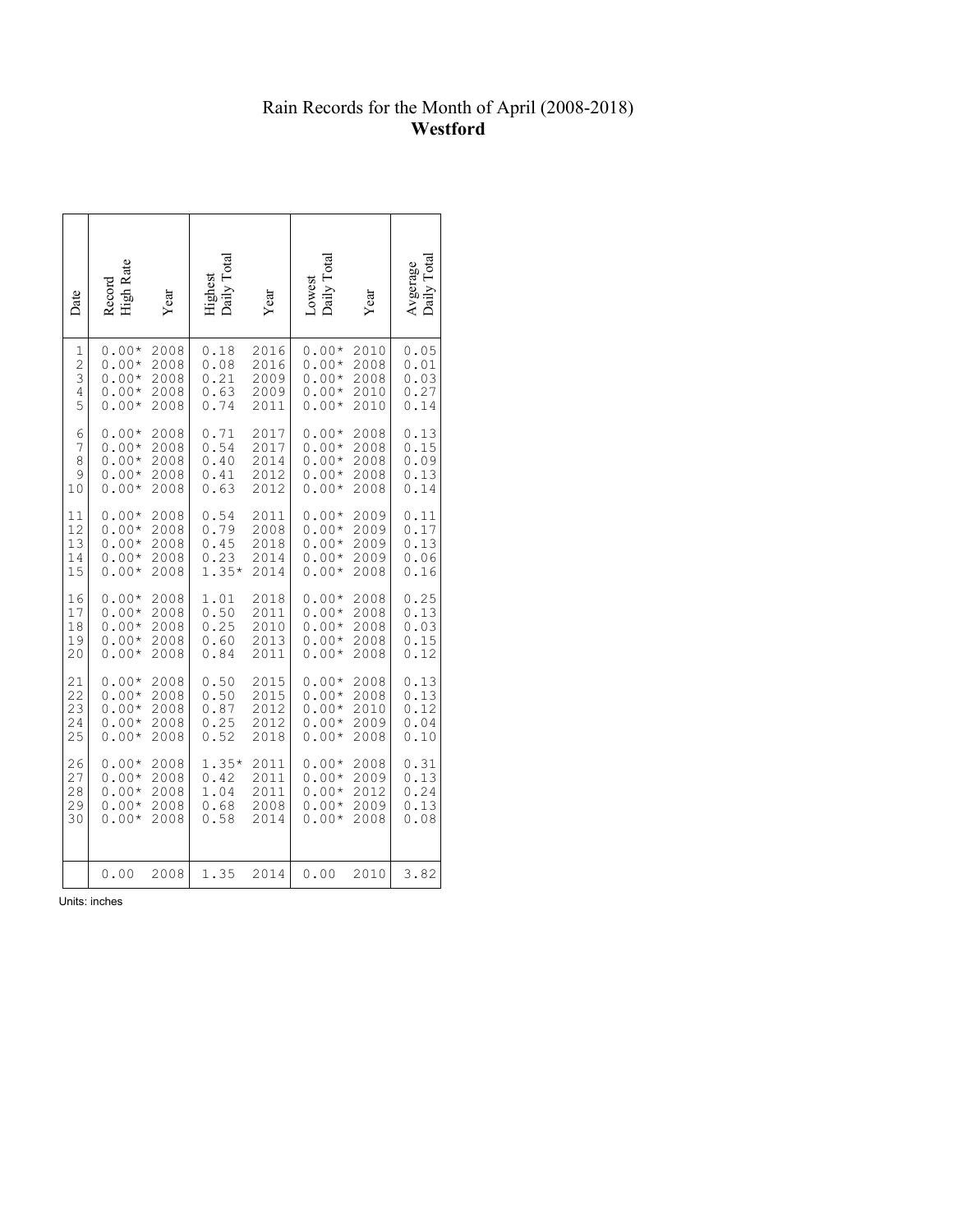## Rain Records for the Month of April (2008-2018) **Westford**

| Date           | High Rate<br>Record | Year | Daily Total<br>Highest | Year | Daily Total<br>Lowest | Year | $\Gamma$ otal<br>Avgerage<br>Daily |
|----------------|---------------------|------|------------------------|------|-----------------------|------|------------------------------------|
| 1              | $0.00*$             | 2008 | 0.18                   | 2016 | $0.00*$               | 2010 | 0.05                               |
| $\overline{c}$ | $0.00*$             | 2008 | 0.08                   | 2016 | $0.00*$               | 2008 | 0.01                               |
| 3              | $0.00*$             | 2008 | 0.21                   | 2009 | $0.00*$               | 2008 | 0.03                               |
| 4              | $0.00*$             | 2008 | 0.63                   | 2009 | $0.00*$               | 2010 | 0.27                               |
| 5              | $0.00*$             | 2008 | 0.74                   | 2011 | $0.00*$               | 2010 | 0.14                               |
| 6              | $0.00*$             | 2008 | 0.71                   | 2017 | $0.00*$               | 2008 | 0.13                               |
| 7              | $0.00*$             | 2008 | 0.54                   | 2017 | $0.00*$               | 2008 | 0.15                               |
| 8              | $0.00*$             | 2008 | 0.40                   | 2014 | $0.00*$               | 2008 | 0.09                               |
| 9              | $0.00*$             | 2008 | 0.41                   | 2012 | $0.00*$               | 2008 | 0.13                               |
| 10             | $0.00*$             | 2008 | 0.63                   | 2012 | $0.00*$               | 2008 | 0.14                               |
| 11             | $0.00*$             | 2008 | 0.54                   | 2011 | $0.00*$               | 2009 | 0.11                               |
| 12             | $0.00*$             | 2008 | 0.79                   | 2008 | $0.00*$               | 2009 | 0.17                               |
| 13             | $0.00*$             | 2008 | 0.45                   | 2018 | $0.00*$               | 2009 | 0.13                               |
| 14             | $0.00*$             | 2008 | 0.23                   | 2014 | $0.00*$               | 2009 | 0.06                               |
| 15             | 0.00*               | 2008 | $1.35*$                | 2014 | $0.00*$               | 2008 | 0.16                               |
| 16             | $0.00*$             | 2008 | 1.01                   | 2018 | $0.00*$               | 2008 | 0.25                               |
| 17             | $0.00*$             | 2008 | 0.50                   | 2011 | $0.00*$               | 2008 | 0.13                               |
| 18             | $0.00*$             | 2008 | 0.25                   | 2010 | $0.00*$               | 2008 | 0.03                               |
| 19             | $0.00*$             | 2008 | 0.60                   | 2013 | $0.00*$               | 2008 | 0.15                               |
| 20             | $0.00*$             | 2008 | 0.84                   | 2011 | $0.00*$               | 2008 | 0.12                               |
| 21             | $0.00*$             | 2008 | 0.50                   | 2015 | $0.00*$               | 2008 | 0.13                               |
| 22             | $0.00*$             | 2008 | 0.50                   | 2015 | $0.00*$               | 2008 | 0.13                               |
| 23             | $0.00*$             | 2008 | 0.87                   | 2012 | $0.00*$               | 2010 | 0.12                               |
| 24             | $0.00*$             | 2008 | 0.25                   | 2012 | $0.00*$               | 2009 | 0.04                               |
| 25             | $0.00*$             | 2008 | 0.52                   | 2018 | $0.00*$               | 2008 | 0.10                               |
| 26             | $0.00*$             | 2008 | $1.35*$                | 2011 | $0.00*$               | 2008 | 0.31                               |
| 27             | $0.00*$             | 2008 | 0.42                   | 2011 | $0.00*$               | 2009 | 0.13                               |
| 28             | $0.00*$             | 2008 | 1.04                   | 2011 | $0.00*$               | 2012 | 0.24                               |
| 29             | $0.00*$             | 2008 | 0.68                   | 2008 | $0.00*$               | 2009 | 0.13                               |
| 30             | $0.00*$             | 2008 | 0.58                   | 2014 | $0.00*$               | 2008 | 0.08                               |
|                | 0.00                | 2008 | 1.35                   | 2014 | 0.00                  | 2010 | 3.82                               |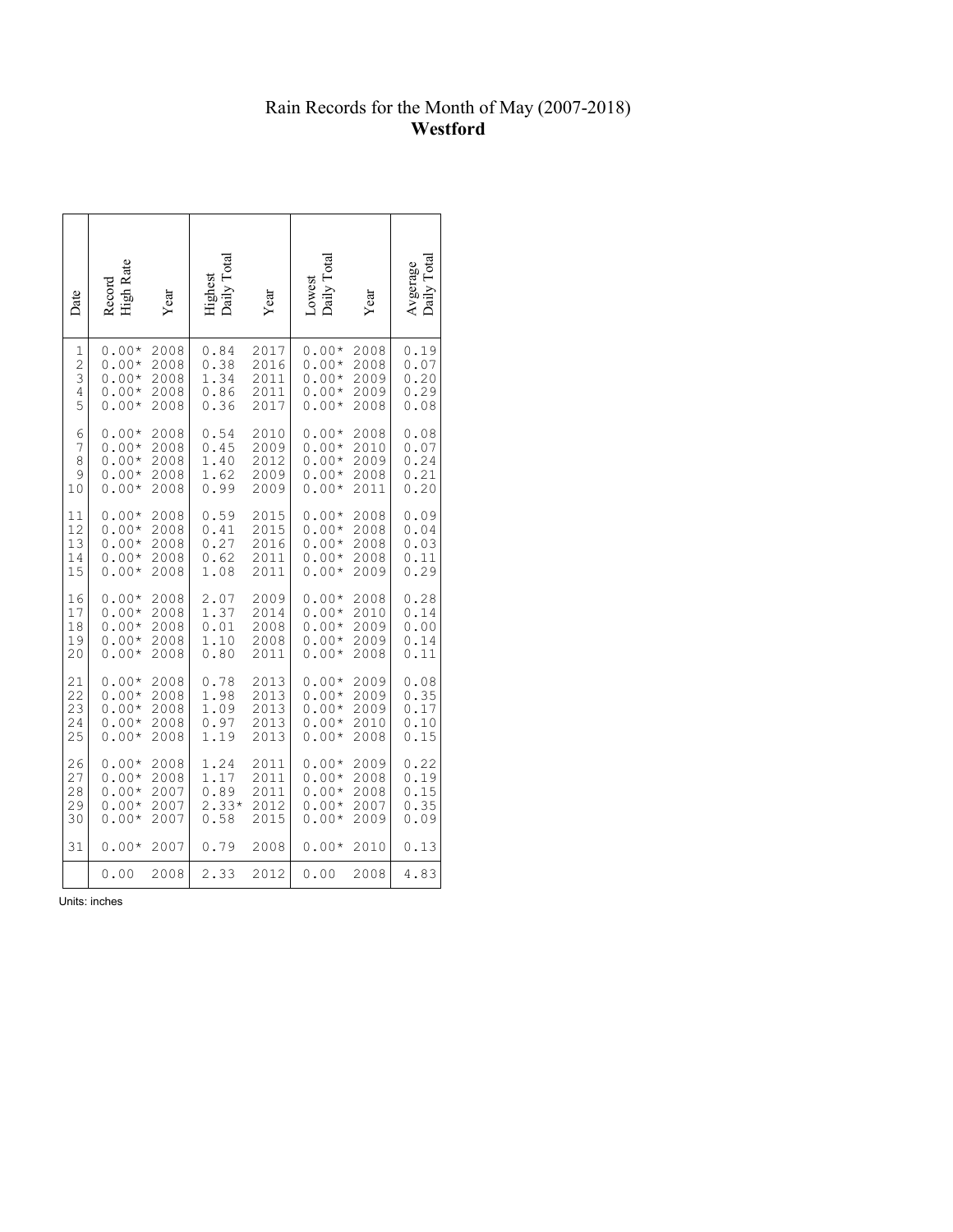## Rain Records for the Month of May (2007-2018) **Westford**

| Date           | High Rate<br>Record | Year | Highest<br>Daily Total | Year | Daily Total<br>Lowest | Year | $\Gamma$ otal<br>Avgerage<br>Daily |
|----------------|---------------------|------|------------------------|------|-----------------------|------|------------------------------------|
| $\mathbf 1$    | $0.00*$             | 2008 | 0.84                   | 2017 | $0.00*$               | 2008 | 0.19                               |
| $\overline{c}$ | $0.00*$             | 2008 | 0.38                   | 2016 | $0.00*$               | 2008 | 0.07                               |
| 3              | $0.00*$             | 2008 | 1.34                   | 2011 | $0.00*$               | 2009 | 0.20                               |
| $\overline{4}$ | $0.00*$             | 2008 | 0.86                   | 2011 | $0.00*$               | 2009 | 0.29                               |
| 5              | $0.00*$             | 2008 | 0.36                   | 2017 | $0.00*$               | 2008 | 0.08                               |
| 6              | $0.00*$             | 2008 | 0.54                   | 2010 | $0.00*$               | 2008 | 0.08                               |
| 7              | $0.00*$             | 2008 | 0.45                   | 2009 | $0.00*$               | 2010 | 0.07                               |
| 8              | $0.00*$             | 2008 | 1.40                   | 2012 | $0.00*$               | 2009 | 0.24                               |
| 9              | $0.00*$             | 2008 | 1.62                   | 2009 | $0.00*$               | 2008 | 0.21                               |
| 10             | $0.00*$             | 2008 | 0.99                   | 2009 | $0.00*$               | 2011 | 0.20                               |
| 11             | $0.00*$             | 2008 | 0.59                   | 2015 | $0.00*$               | 2008 | 0.09                               |
| 12             | $0.00*$             | 2008 | 0.41                   | 2015 | $0.00*$               | 2008 | 0.04                               |
| 13             | $0.00*$             | 2008 | 0.27                   | 2016 | $0.00*$               | 2008 | 0.03                               |
| 14             | $0.00*$             | 2008 | 0.62                   | 2011 | $0.00*$               | 2008 | 0.11                               |
| 15             | $0.00*$             | 2008 | 1.08                   | 2011 | $0.00*$               | 2009 | 0.29                               |
| 16             | $0.00*$             | 2008 | 2.07                   | 2009 | $0.00*$               | 2008 | 0.28                               |
| 17             | $0.00*$             | 2008 | 1.37                   | 2014 | $0.00*$               | 2010 | 0.14                               |
| 18             | $0.00*$             | 2008 | 0.01                   | 2008 | $0.00*$               | 2009 | 0.00                               |
| 19             | $0.00*$             | 2008 | 1.10                   | 2008 | $0.00*$               | 2009 | 0.14                               |
| 20             | $0.00*$             | 2008 | 0.80                   | 2011 | $0.00*$               | 2008 | 0.11                               |
| 21             | $0.00*$             | 2008 | 0.78                   | 2013 | $0.00*$               | 2009 | 0.08                               |
| 22             | $0.00*$             | 2008 | 1.98                   | 2013 | $0.00*$               | 2009 | 0.35                               |
| 23             | $0.00*$             | 2008 | 1.09                   | 2013 | $0.00*$               | 2009 | 0.17                               |
| 24             | $0.00*$             | 2008 | 0.97                   | 2013 | $0.00*$               | 2010 | 0.10                               |
| 25             | $0.00*$             | 2008 | 1.19                   | 2013 | $0.00*$               | 2008 | 0.15                               |
| 26             | $0.00*$             | 2008 | 1.24                   | 2011 | $0.00*$               | 2009 | 0.22                               |
| 27             | $0.00*$             | 2008 | 1.17                   | 2011 | $0.00*$               | 2008 | 0.19                               |
| 28             | $0.00*$             | 2007 | 0.89                   | 2011 | $0.00*$               | 2008 | 0.15                               |
| 29             | $0.00*$             | 2007 | $2.33*$                | 2012 | $0.00*$               | 2007 | 0.35                               |
| 30             | $0.00*$             | 2007 | 0.58                   | 2015 | $0.00*$               | 2009 | 0.09                               |
| 31             | $0.00*$             | 2007 | 0.79                   | 2008 | $0.00*$               | 2010 | 0.13                               |
|                | 0.00                | 2008 | 2.33                   | 2012 | 0.00                  | 2008 | 4.83                               |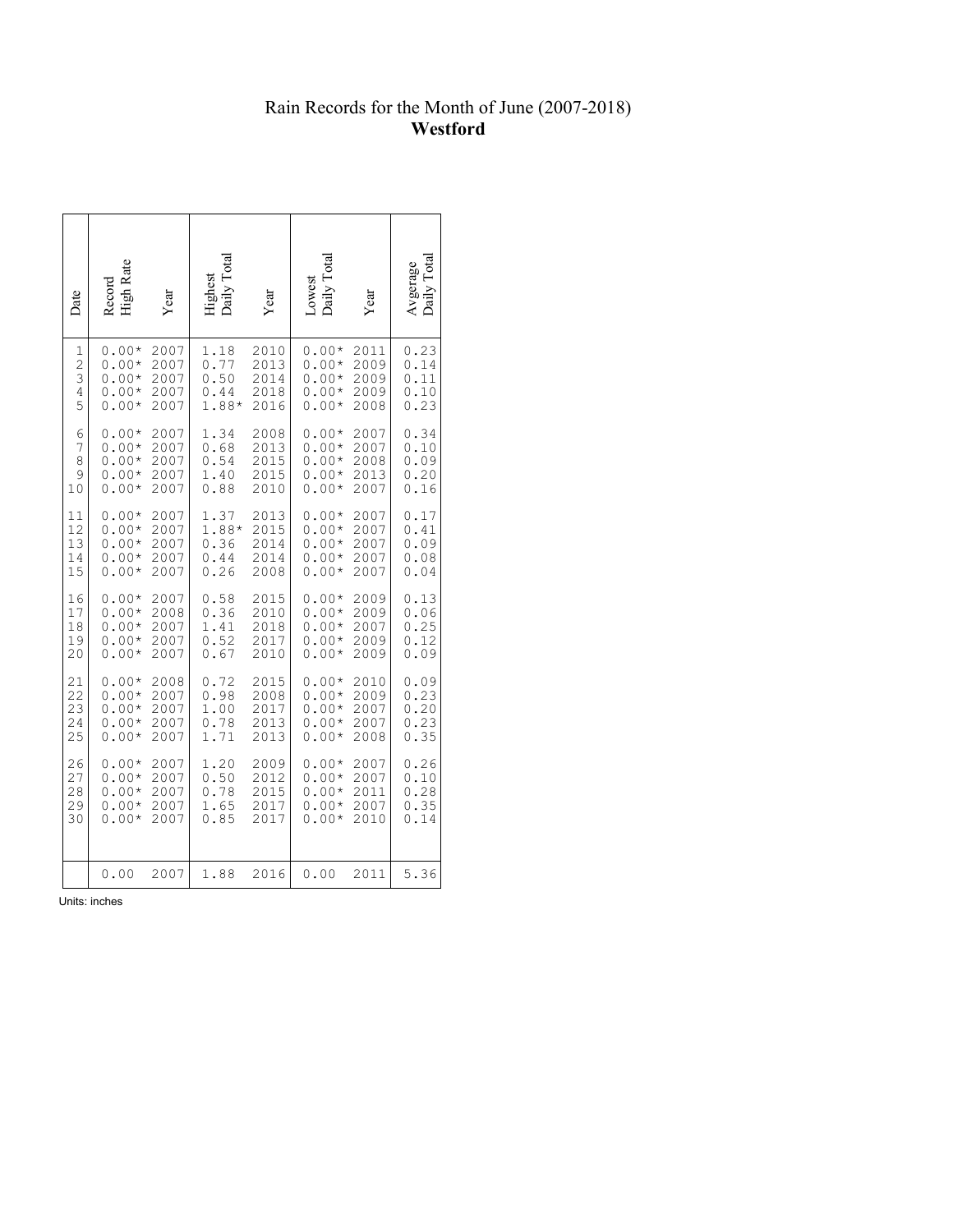# Rain Records for the Month of June (2007-2018) **Westford**

| Date           | High Rate<br>Record | Year | Daily Total<br>Highest | Year | Daily Total<br>Lowest | Year | $\Gamma$ otal<br>Avgerage<br>Daily |
|----------------|---------------------|------|------------------------|------|-----------------------|------|------------------------------------|
| 1              | $0.00*$             | 2007 | 1.18                   | 2010 | $0.00*$               | 2011 | 0.23                               |
| $\overline{c}$ | $0.00*$             | 2007 | 0.77                   | 2013 | $0.00*$               | 2009 | 0.14                               |
| 3              | $0.00*$             | 2007 | 0.50                   | 2014 | $0.00*$               | 2009 | 0.11                               |
| 4              | $0.00*$             | 2007 | 0.44                   | 2018 | $0.00*$               | 2009 | 0.10                               |
| 5              | $0.00*$             | 2007 | 1.88*                  | 2016 | $0.00*$               | 2008 | 0.23                               |
| 6              | $0.00*$             | 2007 | 1.34                   | 2008 | $0.00*$               | 2007 | 0.34                               |
| 7              | $0.00*$             | 2007 | 0.68                   | 2013 | $0.00*$               | 2007 | 0.10                               |
| 8              | $0.00*$             | 2007 | 0.54                   | 2015 | $0.00*$               | 2008 | 0.09                               |
| 9              | $0.00*$             | 2007 | 1.40                   | 2015 | $0.00*$               | 2013 | 0.20                               |
| 10             | $0.00*$             | 2007 | 0.88                   | 2010 | $0.00*$               | 2007 | 0.16                               |
| 11             | $0.00*$             | 2007 | 1.37                   | 2013 | $0.00*$               | 2007 | 0.17                               |
| 12             | $0.00*$             | 2007 | 1.88*                  | 2015 | $0.00*$               | 2007 | 0.41                               |
| 13             | $0.00*$             | 2007 | 0.36                   | 2014 | $0.00*$               | 2007 | 0.09                               |
| 14             | $0.00*$             | 2007 | 0.44                   | 2014 | $0.00*$               | 2007 | 0.08                               |
| 15             | $0.00*$             | 2007 | 0.26                   | 2008 | $0.00*$               | 2007 | 0.04                               |
| 16             | $0.00*$             | 2007 | 0.58                   | 2015 | $0.00*$               | 2009 | 0.13                               |
| 17             | $0.00*$             | 2008 | 0.36                   | 2010 | $0.00*$               | 2009 | 0.06                               |
| 18             | $0.00*$             | 2007 | 1.41                   | 2018 | $0.00*$               | 2007 | 0.25                               |
| 19             | $0.00*$             | 2007 | 0.52                   | 2017 | $0.00*$               | 2009 | 0.12                               |
| 20             | $0.00*$             | 2007 | 0.67                   | 2010 | $0.00*$               | 2009 | 0.09                               |
| 21             | $0.00*$             | 2008 | 0.72                   | 2015 | $0.00*$               | 2010 | 0.09                               |
| 22             | $0.00*$             | 2007 | 0.98                   | 2008 | $0.00*$               | 2009 | 0.23                               |
| 23             | $0.00*$             | 2007 | 1.00                   | 2017 | $0.00*$               | 2007 | 0.20                               |
| 24             | $0.00*$             | 2007 | 0.78                   | 2013 | $0.00*$               | 2007 | 0.23                               |
| 25             | $0.00*$             | 2007 | 1.71                   | 2013 | $0.00*$               | 2008 | 0.35                               |
| 26             | $0.00*$             | 2007 | 1.20                   | 2009 | $0.00*$               | 2007 | 0.26                               |
| 27             | $0.00*$             | 2007 | 0.50                   | 2012 | $0.00*$               | 2007 | 0.10                               |
| 28             | $0.00*$             | 2007 | 0.78                   | 2015 | $0.00*$               | 2011 | 0.28                               |
| 29             | $0.00*$             | 2007 | 1.65                   | 2017 | $0.00*$               | 2007 | 0.35                               |
| 30             | $0.00*$             | 2007 | 0.85                   | 2017 | $0.00*$               | 2010 | 0.14                               |
|                | 0.00                | 2007 | 1.88                   | 2016 | 0.00                  | 2011 | 5.36                               |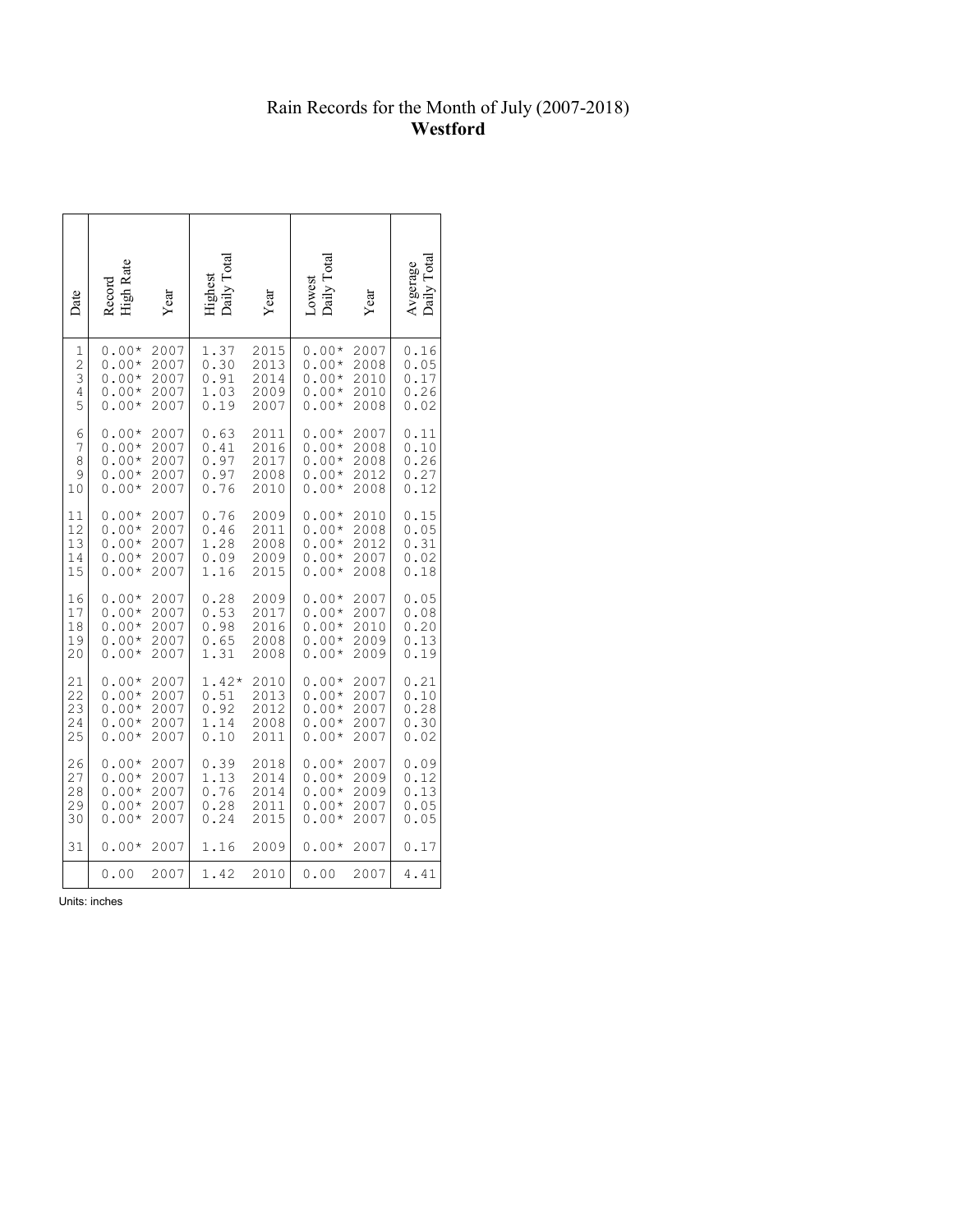## Rain Records for the Month of July (2007-2018) **Westford**

| Date           | High Rate<br>Record | Year | Daily Total<br>Highest | Year | Daily Total<br>Lowest | Year | Total<br>Avgerage<br>Daily Tota |
|----------------|---------------------|------|------------------------|------|-----------------------|------|---------------------------------|
| 1              | $0.00*$             | 2007 | 1.37                   | 2015 | $0.00*$               | 2007 | 0.16                            |
| $\overline{c}$ | $0.00*$             | 2007 | 0.30                   | 2013 | $0.00*$               | 2008 | 0.05                            |
| 3              | $0.00*$             | 2007 | 0.91                   | 2014 | $0.00*$               | 2010 | 0.17                            |
| 4              | $0.00*$             | 2007 | 1.03                   | 2009 | $0.00*$               | 2010 | 0.26                            |
| 5              | $0.00*$             | 2007 | 0.19                   | 2007 | $0.00*$               | 2008 | 0.02                            |
| 6              | $0.00*$             | 2007 | 0.63                   | 2011 | $0.00*$               | 2007 | 0.11                            |
| 7              | $0.00*$             | 2007 | 0.41                   | 2016 | $0.00*$               | 2008 | 0.10                            |
| 8              | $0.00*$             | 2007 | 0.97                   | 2017 | $0.00*$               | 2008 | 0.26                            |
| 9              | $0.00*$             | 2007 | 0.97                   | 2008 | $0.00*$               | 2012 | 0.27                            |
| 10             | $0.00*$             | 2007 | 0.76                   | 2010 | $0.00*$               | 2008 | 0.12                            |
| 11             | $0.00*$             | 2007 | 0.76                   | 2009 | $0.00*$               | 2010 | 0.15                            |
| 12             | $0.00*$             | 2007 | 0.46                   | 2011 | $0.00*$               | 2008 | 0.05                            |
| 13             | $0.00*$             | 2007 | 1.28                   | 2008 | $0.00*$               | 2012 | 0.31                            |
| 14             | $0.00*$             | 2007 | 0.09                   | 2009 | $0.00*$               | 2007 | 0.02                            |
| 15             | $0.00*$             | 2007 | 1.16                   | 2015 | $0.00*$               | 2008 | 0.18                            |
| 16             | $0.00*$             | 2007 | 0.28                   | 2009 | $0.00*$               | 2007 | 0.05                            |
| 17             | $0.00*$             | 2007 | 0.53                   | 2017 | $0.00*$               | 2007 | 0.08                            |
| 18             | $0.00*$             | 2007 | 0.98                   | 2016 | $0.00*$               | 2010 | 0.20                            |
| 19             | $0.00*$             | 2007 | 0.65                   | 2008 | $0.00*$               | 2009 | 0.13                            |
| 20             | $0.00*$             | 2007 | 1.31                   | 2008 | $0.00*$               | 2009 | 0.19                            |
| 21             | $0.00*$             | 2007 | $1.42*$                | 2010 | $0.00*$               | 2007 | 0.21                            |
| 22             | $0.00*$             | 2007 | 0.51                   | 2013 | $0.00*$               | 2007 | 0.10                            |
| 23             | $0.00*$             | 2007 | 0.92                   | 2012 | $0.00*$               | 2007 | 0.28                            |
| 24             | $0.00*$             | 2007 | 1.14                   | 2008 | $0.00*$               | 2007 | 0.30                            |
| 25             | $0.00*$             | 2007 | 0.10                   | 2011 | $0.00*$               | 2007 | 0.02                            |
| 26             | $0.00*$             | 2007 | 0.39                   | 2018 | $0.00*$               | 2007 | 0.09                            |
| 27             | $0.00*$             | 2007 | 1.13                   | 2014 | $0.00*$               | 2009 | 0.12                            |
| 28             | $0.00*$             | 2007 | 0.76                   | 2014 | $0.00*$               | 2009 | 0.13                            |
| 29             | $0.00*$             | 2007 | 0.28                   | 2011 | $0.00*$               | 2007 | 0.05                            |
| 30             | $0.00*$             | 2007 | 0.24                   | 2015 | $0.00*$               | 2007 | 0.05                            |
| 31             | $0.00*$             | 2007 | 1.16                   | 2009 | $0.00*$               | 2007 | 0.17                            |
|                | 0.00                | 2007 | 1.42                   | 2010 | 0.00                  | 2007 | 4.41                            |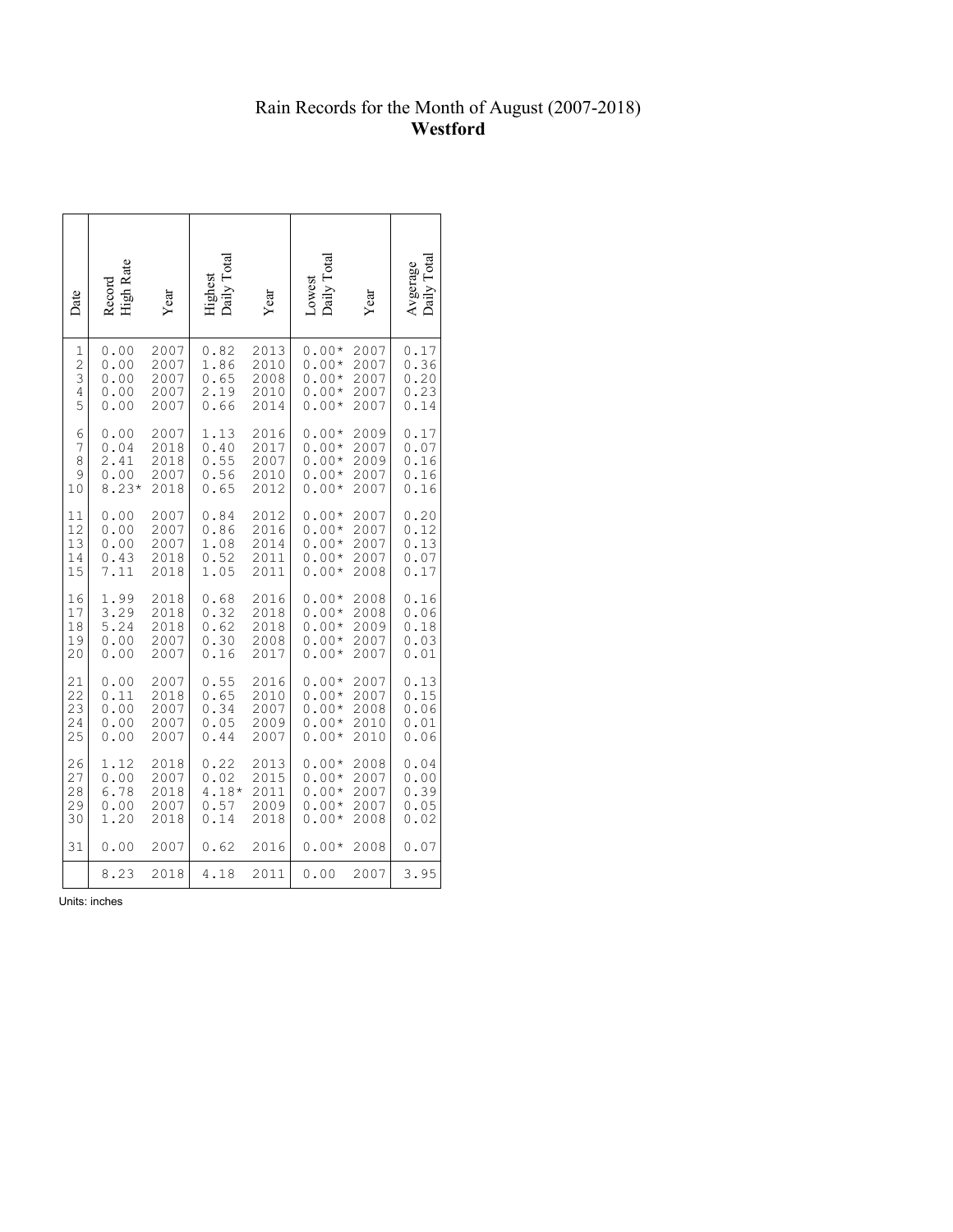## Rain Records for the Month of August (2007-2018) **Westford**

| Date           | High Rate<br>Record | Year | Jaily Total<br>Highest | Year | Daily Total<br>Lowest | Year | $\Gamma$ otal<br>Avgerage<br>Daily |
|----------------|---------------------|------|------------------------|------|-----------------------|------|------------------------------------|
| 1              | 0.00                | 2007 | 0.82                   | 2013 | $0.00*$               | 2007 | 0.17                               |
| $\overline{c}$ | 0.00                | 2007 | 1.86                   | 2010 | $0.00*$               | 2007 | 0.36                               |
| 3              | 0.00                | 2007 | 0.65                   | 2008 | $0.00*$               | 2007 | 0.20                               |
| 4              | 0.00                | 2007 | 2.19                   | 2010 | $0.00*$               | 2007 | 0.23                               |
| 5              | 0.00                | 2007 | 0.66                   | 2014 | $0.00*$               | 2007 | 0.14                               |
| 6              | 0.00                | 2007 | 1.13                   | 2016 | $0.00*$               | 2009 | 0.17                               |
| 7              | 0.04                | 2018 | 0.40                   | 2017 | $0.00*$               | 2007 | 0.07                               |
| 8              | 2.41                | 2018 | 0.55                   | 2007 | $0.00*$               | 2009 | 0.16                               |
| 9              | 0.00                | 2007 | 0.56                   | 2010 | $0.00*$               | 2007 | 0.16                               |
| 10             | $8.23*$             | 2018 | 0.65                   | 2012 | $0.00*$               | 2007 | 0.16                               |
| 11             | 0.00                | 2007 | 0.84                   | 2012 | $0.00*$               | 2007 | 0.20                               |
| 12             | 0.00                | 2007 | 0.86                   | 2016 | $0.00*$               | 2007 | 0.12                               |
| 13             | 0.00                | 2007 | 1.08                   | 2014 | $0.00*$               | 2007 | 0.13                               |
| 14             | 0.43                | 2018 | 0.52                   | 2011 | $0.00*$               | 2007 | 0.07                               |
| 15             | 7.11                | 2018 | 1.05                   | 2011 | $0.00*$               | 2008 | 0.17                               |
| 16             | 1.99                | 2018 | 0.68                   | 2016 | $0.00*$               | 2008 | 0.16                               |
| 17             | 3.29                | 2018 | 0.32                   | 2018 | $0.00*$               | 2008 | 0.06                               |
| 18             | 5.24                | 2018 | 0.62                   | 2018 | $0.00*$               | 2009 | 0.18                               |
| 19             | 0.00                | 2007 | 0.30                   | 2008 | $0.00*$               | 2007 | 0.03                               |
| 20             | 0.00                | 2007 | 0.16                   | 2017 | $0.00*$               | 2007 | 0.01                               |
| 21             | 0.00                | 2007 | 0.55                   | 2016 | $0.00*$               | 2007 | 0.13                               |
| 22             | 0.11                | 2018 | 0.65                   | 2010 | $0.00*$               | 2007 | 0.15                               |
| 23             | 0.00                | 2007 | 0.34                   | 2007 | $0.00*$               | 2008 | 0.06                               |
| 24             | 0.00                | 2007 | 0.05                   | 2009 | $0.00*$               | 2010 | 0.01                               |
| 25             | 0.00                | 2007 | 0.44                   | 2007 | $0.00*$               | 2010 | 0.06                               |
| 26             | 1.12                | 2018 | 0.22                   | 2013 | $0.00*$               | 2008 | 0.04                               |
| 27             | 0.00                | 2007 | 0.02                   | 2015 | $0.00*$               | 2007 | 0.00                               |
| 28             | 6.78                | 2018 | $4.18*$                | 2011 | $0.00*$               | 2007 | 0.39                               |
| 29             | 0.00                | 2007 | 0.57                   | 2009 | $0.00*$               | 2007 | 0.05                               |
| 30             | 1.20                | 2018 | 0.14                   | 2018 | $0.00*$               | 2008 | 0.02                               |
| 31             | 0.00                | 2007 | 0.62                   | 2016 | $0.00*$               | 2008 | 0.07                               |
|                | 8.23                | 2018 | 4.18                   | 2011 | 0.00                  | 2007 | 3.95                               |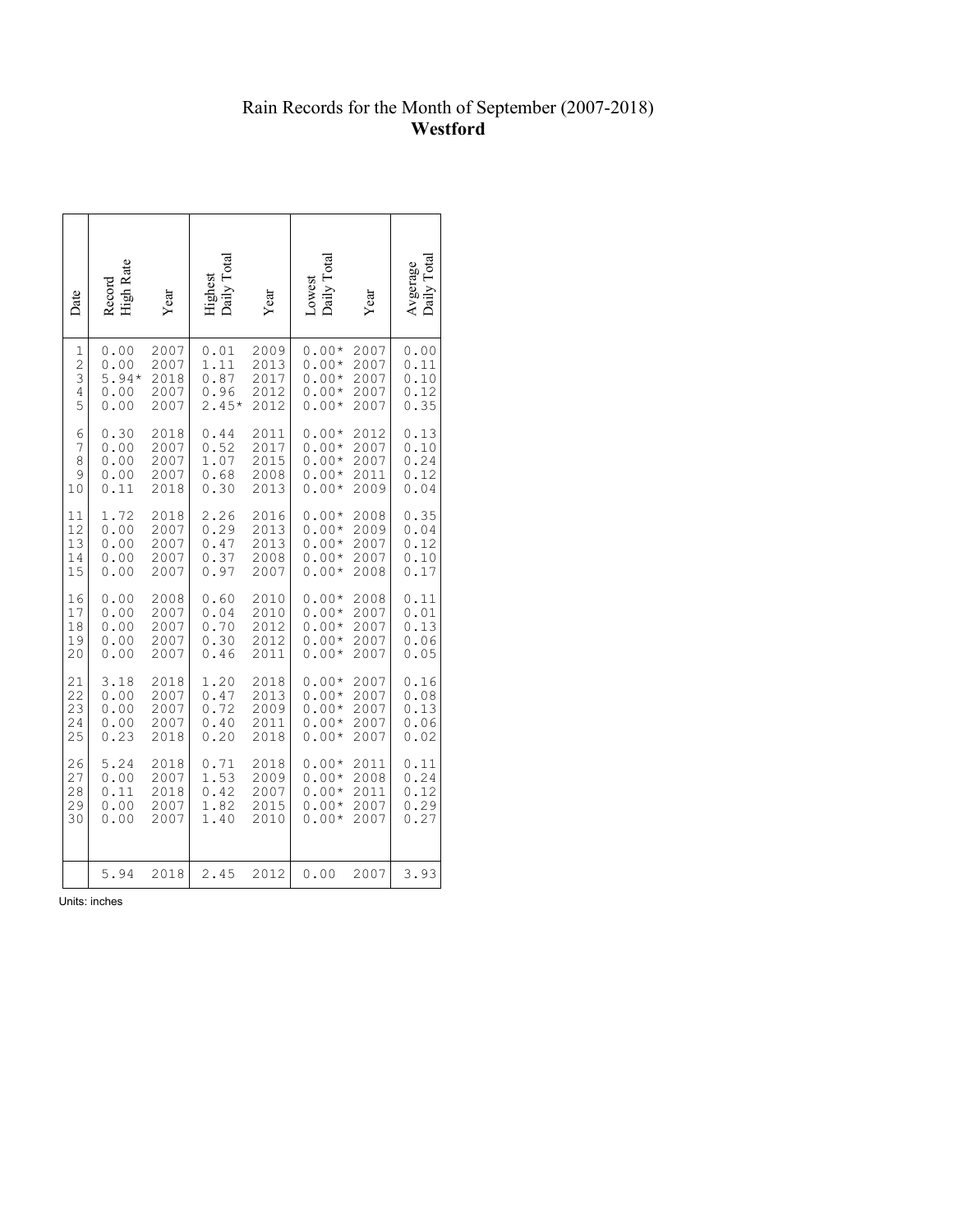## Rain Records for the Month of September (2007-2018) **Westford**

| Date           | Record<br>High Rate | Year | Jaily Tota.<br>Highest | Year | Daily Tota<br>-owest | Year | <b>Tota</b><br>Avgerage |
|----------------|---------------------|------|------------------------|------|----------------------|------|-------------------------|
| 1              | 0.00                | 2007 | 0.01                   | 2009 | $0.00*$              | 2007 | 0.00                    |
| $\overline{c}$ | 0.00                | 2007 | 1.11                   | 2013 | $0.00*$              | 2007 | 0.11                    |
| 3              | $5.94*$             | 2018 | 0.87                   | 2017 | $0.00*$              | 2007 | 0.10                    |
| 4              | 0.00                | 2007 | 0.96                   | 2012 | $0.00*$              | 2007 | 0.12                    |
| 5              | 0.00                | 2007 | $2.45*$                | 2012 | $0.00*$              | 2007 | 0.35                    |
| 6              | 0.30                | 2018 | 0.44                   | 2011 | $0.00*$              | 2012 | 0.13                    |
| 7              | 0.00                | 2007 | 0.52                   | 2017 | $0.00*$              | 2007 | 0.10                    |
| 8              | 0.00                | 2007 | 1.07                   | 2015 | $0.00*$              | 2007 | 0.24                    |
| 9              | 0.00                | 2007 | 0.68                   | 2008 | $0.00*$              | 2011 | 0.12                    |
| 10             | 0.11                | 2018 | 0.30                   | 2013 | $0.00*$              | 2009 | 0.04                    |
| 11             | 1.72                | 2018 | 2.26                   | 2016 | $0.00*$              | 2008 | 0.35                    |
| 12             | 0.00                | 2007 | 0.29                   | 2013 | $0.00*$              | 2009 | 0.04                    |
| 13             | 0.00                | 2007 | 0.47                   | 2013 | $0.00*$              | 2007 | 0.12                    |
| 14             | 0.00                | 2007 | 0.37                   | 2008 | $0.00*$              | 2007 | 0.10                    |
| 15             | 0.00                | 2007 | 0.97                   | 2007 | $0.00*$              | 2008 | 0.17                    |
| 16             | 0.00                | 2008 | 0.60                   | 2010 | $0.00*$              | 2008 | 0.11                    |
| 17             | 0.00                | 2007 | 0.04                   | 2010 | $0.00*$              | 2007 | 0.01                    |
| 18             | 0.00                | 2007 | 0.70                   | 2012 | $0.00*$              | 2007 | 0.13                    |
| 19             | 0.00                | 2007 | 0.30                   | 2012 | $0.00*$              | 2007 | 0.06                    |
| 20             | 0.00                | 2007 | 0.46                   | 2011 | $0.00*$              | 2007 | 0.05                    |
| 21             | 3.18                | 2018 | 1.20                   | 2018 | $0.00*$              | 2007 | 0.16                    |
| 22             | 0.00                | 2007 | 0.47                   | 2013 | $0.00*$              | 2007 | 0.08                    |
| 23             | 0.00                | 2007 | 0.72                   | 2009 | $0.00*$              | 2007 | 0.13                    |
| 24             | 0.00                | 2007 | 0.40                   | 2011 | $0.00*$              | 2007 | 0.06                    |
| 25             | 0.23                | 2018 | 0.20                   | 2018 | $0.00*$              | 2007 | 0.02                    |
| 26             | 5.24                | 2018 | 0.71                   | 2018 | $0.00*$              | 2011 | 0.11                    |
| 27             | 0.00                | 2007 | 1.53                   | 2009 | $0.00*$              | 2008 | 0.24                    |
| 28             | 0.11                | 2018 | 0.42                   | 2007 | $0.00*$              | 2011 | 0.12                    |
| 29             | 0.00                | 2007 | 1.82                   | 2015 | $0.00*$              | 2007 | 0.29                    |
| 30             | 0.00                | 2007 | 1.40                   | 2010 | $0.00*$              | 2007 | 0.27                    |
|                | 5.94                | 2018 | 2.45                   | 2012 | 0.00                 | 2007 | 3.93                    |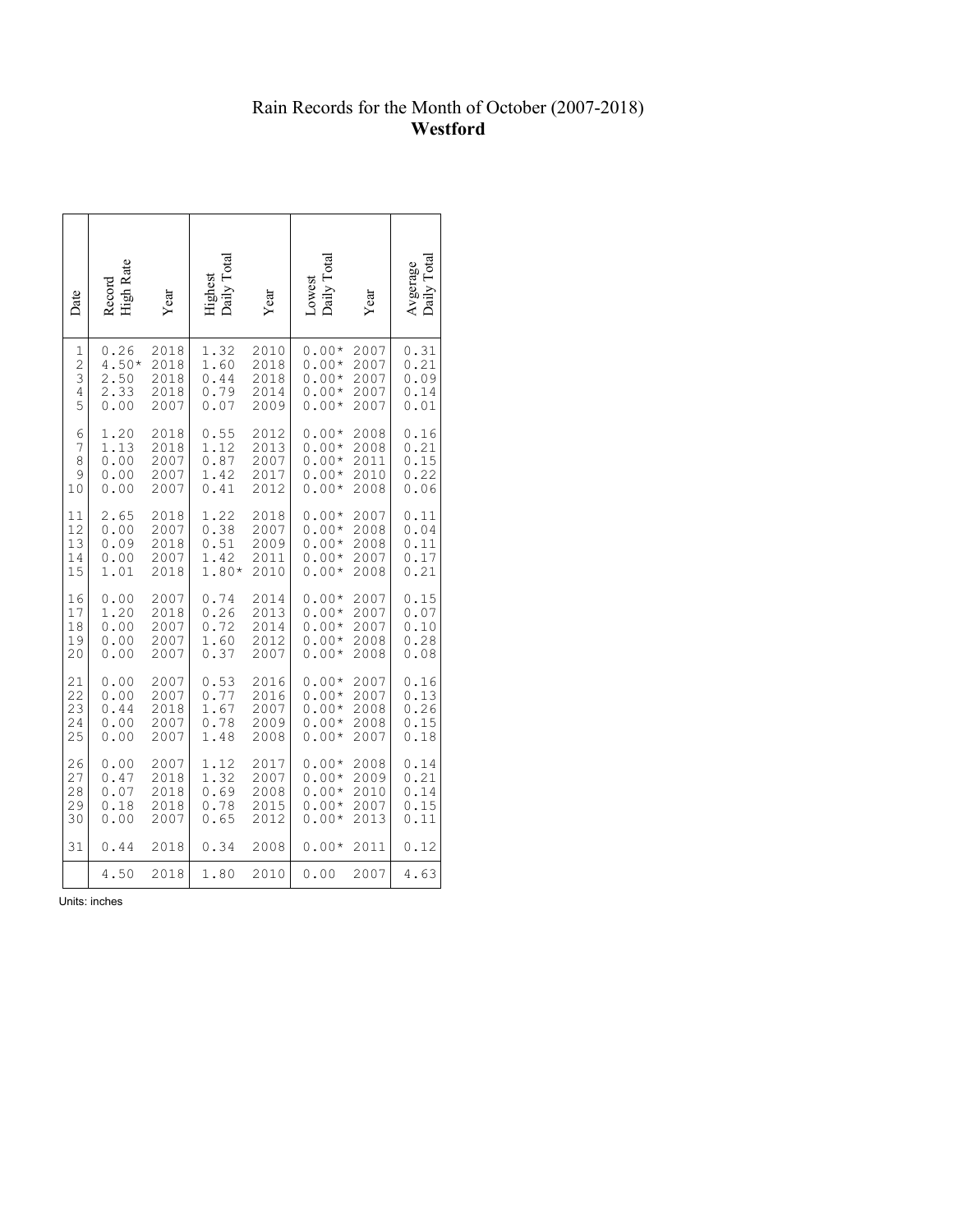# Rain Records for the Month of October (2007-2018) **Westford**

| Date                                   | High Rate<br>Record                     | Year                                 | Daily Total<br>Highest               | Year                                 | Daily Total<br>Lowest                               | Year                                 | Daily Tota<br>Avgerage               |
|----------------------------------------|-----------------------------------------|--------------------------------------|--------------------------------------|--------------------------------------|-----------------------------------------------------|--------------------------------------|--------------------------------------|
| $\mathbf 1$<br>$\frac{2}{3}$<br>4<br>5 | 0.26<br>$4.50*$<br>2.50<br>2.33<br>0.00 | 2018<br>2018<br>2018<br>2018<br>2007 | 1.32<br>1.60<br>0.44<br>0.79<br>0.07 | 2010<br>2018<br>2018<br>2014<br>2009 | $0.00*$<br>$0.00*$<br>$0.00*$<br>$0.00*$<br>$0.00*$ | 2007<br>2007<br>2007<br>2007<br>2007 | 0.31<br>0.21<br>0.09<br>0.14<br>0.01 |
| 6                                      | 1.20                                    | 2018                                 | 0.55                                 | 2012                                 | $0.00*$                                             | 2008                                 | 0.16                                 |
| 7                                      | 1.13                                    | 2018                                 | 1.12                                 | 2013                                 | $0.00*$                                             | 2008                                 | 0.21                                 |
| 8                                      | 0.00                                    | 2007                                 | 0.87                                 | 2007                                 | $0.00*$                                             | 2011                                 | 0.15                                 |
| 9                                      | 0.00                                    | 2007                                 | 1.42                                 | 2017                                 | $0.00*$                                             | 2010                                 | 0.22                                 |
| 10                                     | 0.00                                    | 2007                                 | 0.41                                 | 2012                                 | $0.00*$                                             | 2008                                 | 0.06                                 |
| 11                                     | 2.65                                    | 2018                                 | 1.22                                 | 2018                                 | $0.00*$                                             | 2007                                 | 0.11                                 |
| 12                                     | 0.00                                    | 2007                                 | 0.38                                 | 2007                                 | $0.00*$                                             | 2008                                 | 0.04                                 |
| 13                                     | 0.09                                    | 2018                                 | 0.51                                 | 2009                                 | $0.00*$                                             | 2008                                 | 0.11                                 |
| 14                                     | 0.00                                    | 2007                                 | 1.42                                 | 2011                                 | $0.00*$                                             | 2007                                 | 0.17                                 |
| 15                                     | 1.01                                    | 2018                                 | 1.80*                                | 2010                                 | $0.00*$                                             | 2008                                 | 0.21                                 |
| 16                                     | 0.00                                    | 2007                                 | 0.74                                 | 2014                                 | $0.00*$                                             | 2007                                 | 0.15                                 |
| 17                                     | 1.20                                    | 2018                                 | 0.26                                 | 2013                                 | $0.00*$                                             | 2007                                 | 0.07                                 |
| 18                                     | 0.00                                    | 2007                                 | 0.72                                 | 2014                                 | $0.00*$                                             | 2007                                 | 0.10                                 |
| 19                                     | 0.00                                    | 2007                                 | 1.60                                 | 2012                                 | $0.00*$                                             | 2008                                 | 0.28                                 |
| 20                                     | 0.00                                    | 2007                                 | 0.37                                 | 2007                                 | $0.00*$                                             | 2008                                 | 0.08                                 |
| 21                                     | 0.00                                    | 2007                                 | 0.53                                 | 2016                                 | $0.00*$                                             | 2007                                 | 0.16                                 |
| 22                                     | 0.00                                    | 2007                                 | 0.77                                 | 2016                                 | $0.00*$                                             | 2007                                 | 0.13                                 |
| 23                                     | 0.44                                    | 2018                                 | 1.67                                 | 2007                                 | $0.00*$                                             | 2008                                 | 0.26                                 |
| 24                                     | 0.00                                    | 2007                                 | 0.78                                 | 2009                                 | $0.00*$                                             | 2008                                 | 0.15                                 |
| 25                                     | 0.00                                    | 2007                                 | 1.48                                 | 2008                                 | $0.00*$                                             | 2007                                 | 0.18                                 |
| 26                                     | 0.00                                    | 2007                                 | 1.12                                 | 2017                                 | $0.00*$                                             | 2008                                 | 0.14                                 |
| 27                                     | 0.47                                    | 2018                                 | 1.32                                 | 2007                                 | $0.00*$                                             | 2009                                 | 0.21                                 |
| 28                                     | 0.07                                    | 2018                                 | 0.69                                 | 2008                                 | $0.00*$                                             | 2010                                 | 0.14                                 |
| 29                                     | 0.18                                    | 2018                                 | 0.78                                 | 2015                                 | $0.00*$                                             | 2007                                 | 0.15                                 |
| 30                                     | 0.00                                    | 2007                                 | 0.65                                 | 2012                                 | $0.00*$                                             | 2013                                 | 0.11                                 |
| 31                                     | 0.44                                    | 2018                                 | 0.34                                 | 2008                                 | $0.00*$                                             | 2011                                 | 0.12                                 |
|                                        | 4.50                                    | 2018                                 | 1.80                                 | 2010                                 | 0.00                                                | 2007                                 | 4.63                                 |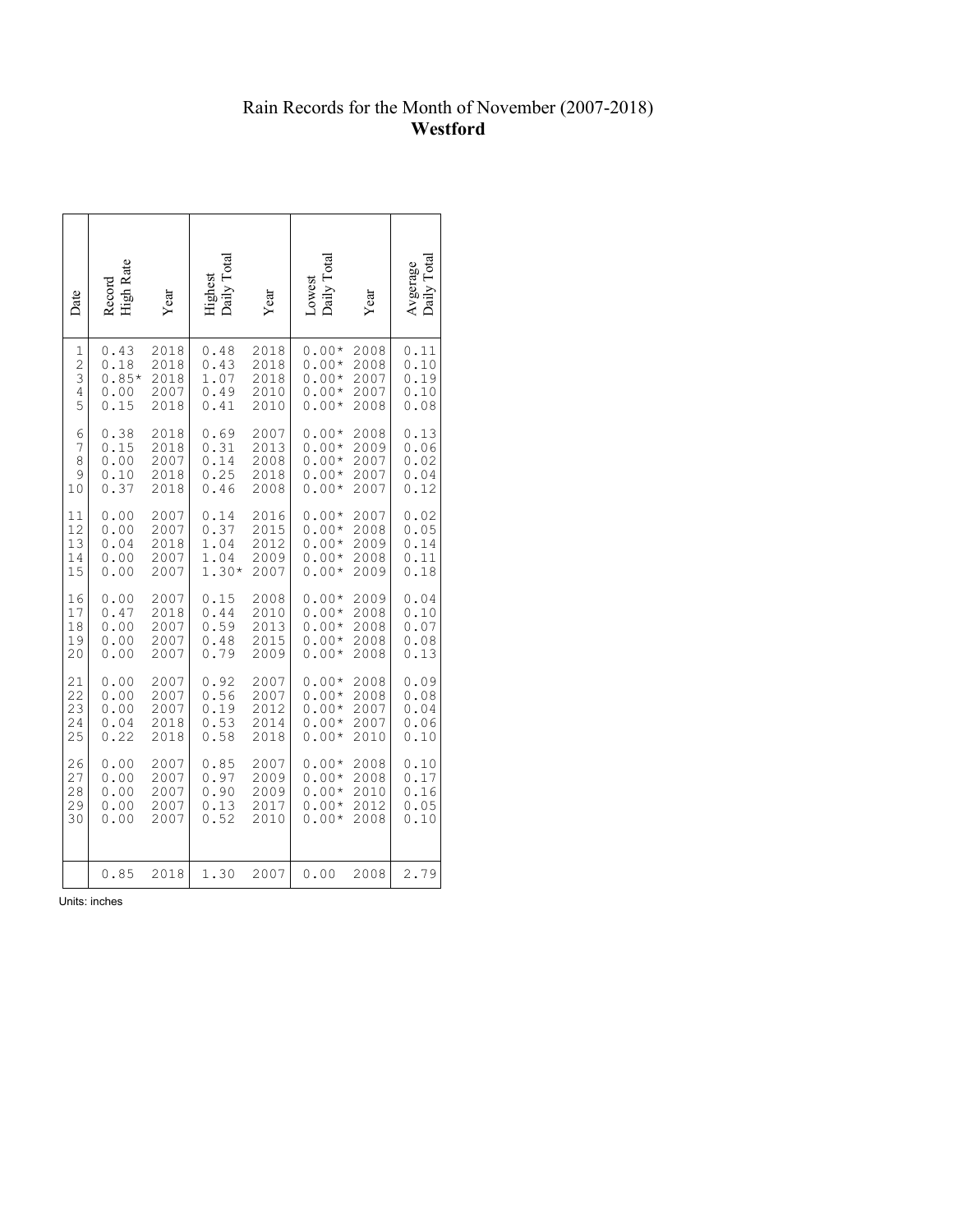# Rain Records for the Month of November (2007-2018) **Westford**

| Date                                                 | <b>High Rate</b><br>Record              | Year                                 | aily Tota<br>dighest                 | Year                                 | Daily Total<br>Lowest                               | Year                                 | $\Gamma$ otal<br>Avgerage<br>Daily   |
|------------------------------------------------------|-----------------------------------------|--------------------------------------|--------------------------------------|--------------------------------------|-----------------------------------------------------|--------------------------------------|--------------------------------------|
| $\mathbf{1}$<br>$\frac{2}{3}$<br>$\overline{4}$<br>5 | 0.43<br>0.18<br>$0.85*$<br>0.00<br>0.15 | 2018<br>2018<br>2018<br>2007<br>2018 | 0.48<br>0.43<br>1.07<br>0.49<br>0.41 | 2018<br>2018<br>2018<br>2010<br>2010 | $0.00*$<br>$0.00*$<br>$0.00*$<br>$0.00*$<br>$0.00*$ | 2008<br>2008<br>2007<br>2007<br>2008 | 0.11<br>0.10<br>0.19<br>0.10<br>0.08 |
| 6                                                    | 0.38                                    | 2018                                 | 0.69                                 | 2007                                 | $0.00*$                                             | 2008                                 | 0.13                                 |
| 7                                                    | 0.15                                    | 2018                                 | 0.31                                 | 2013                                 | $0.00*$                                             | 2009                                 | 0.06                                 |
| 8                                                    | 0.00                                    | 2007                                 | 0.14                                 | 2008                                 | $0.00*$                                             | 2007                                 | 0.02                                 |
| 9                                                    | 0.10                                    | 2018                                 | 0.25                                 | 2018                                 | $0.00*$                                             | 2007                                 | 0.04                                 |
| 10                                                   | 0.37                                    | 2018                                 | 0.46                                 | 2008                                 | $0.00*$                                             | 2007                                 | 0.12                                 |
| 11                                                   | 0.00                                    | 2007                                 | 0.14                                 | 2016                                 | $0.00*$                                             | 2007                                 | 0.02                                 |
| 12                                                   | 0.00                                    | 2007                                 | 0.37                                 | 2015                                 | $0.00*$                                             | 2008                                 | 0.05                                 |
| 13                                                   | 0.04                                    | 2018                                 | 1.04                                 | 2012                                 | $0.00*$                                             | 2009                                 | 0.14                                 |
| 14                                                   | 0.00                                    | 2007                                 | 1.04                                 | 2009                                 | $0.00*$                                             | 2008                                 | 0.11                                 |
| 15                                                   | 0.00                                    | 2007                                 | $1.30*$                              | 2007                                 | $0.00*$                                             | 2009                                 | 0.18                                 |
| 16                                                   | 0.00                                    | 2007                                 | 0.15                                 | 2008                                 | $0.00*$                                             | 2009                                 | 0.04                                 |
| 17                                                   | 0.47                                    | 2018                                 | 0.44                                 | 2010                                 | $0.00*$                                             | 2008                                 | 0.10                                 |
| 18                                                   | 0.00                                    | 2007                                 | 0.59                                 | 2013                                 | $0.00*$                                             | 2008                                 | 0.07                                 |
| 19                                                   | 0.00                                    | 2007                                 | 0.48                                 | 2015                                 | $0.00*$                                             | 2008                                 | 0.08                                 |
| 20                                                   | 0.00                                    | 2007                                 | 0.79                                 | 2009                                 | $0.00*$                                             | 2008                                 | 0.13                                 |
| 21                                                   | 0.00                                    | 2007                                 | 0.92                                 | 2007                                 | $0.00*$                                             | 2008                                 | 0.09                                 |
| 22                                                   | 0.00                                    | 2007                                 | 0.56                                 | 2007                                 | $0.00*$                                             | 2008                                 | 0.08                                 |
| 23                                                   | 0.00                                    | 2007                                 | 0.19                                 | 2012                                 | $0.00*$                                             | 2007                                 | 0.04                                 |
| 24                                                   | 0.04                                    | 2018                                 | 0.53                                 | 2014                                 | $0.00*$                                             | 2007                                 | 0.06                                 |
| 25                                                   | 0.22                                    | 2018                                 | 0.58                                 | 2018                                 | $0.00*$                                             | 2010                                 | 0.10                                 |
| 26                                                   | 0.00                                    | 2007                                 | 0.85                                 | 2007                                 | $0.00*$                                             | 2008                                 | 0.10                                 |
| 27                                                   | 0.00                                    | 2007                                 | 0.97                                 | 2009                                 | $0.00*$                                             | 2008                                 | 0.17                                 |
| 28                                                   | 0.00                                    | 2007                                 | 0.90                                 | 2009                                 | $0.00*$                                             | 2010                                 | 0.16                                 |
| 29                                                   | 0.00                                    | 2007                                 | 0.13                                 | 2017                                 | $0.00*$                                             | 2012                                 | 0.05                                 |
| 30                                                   | 0.00                                    | 2007                                 | 0.52                                 | 2010                                 | $0.00*$                                             | 2008                                 | 0.10                                 |
|                                                      | 0.85                                    | 2018                                 | 1.30                                 | 2007                                 | 0.00                                                | 2008                                 | 2.79                                 |